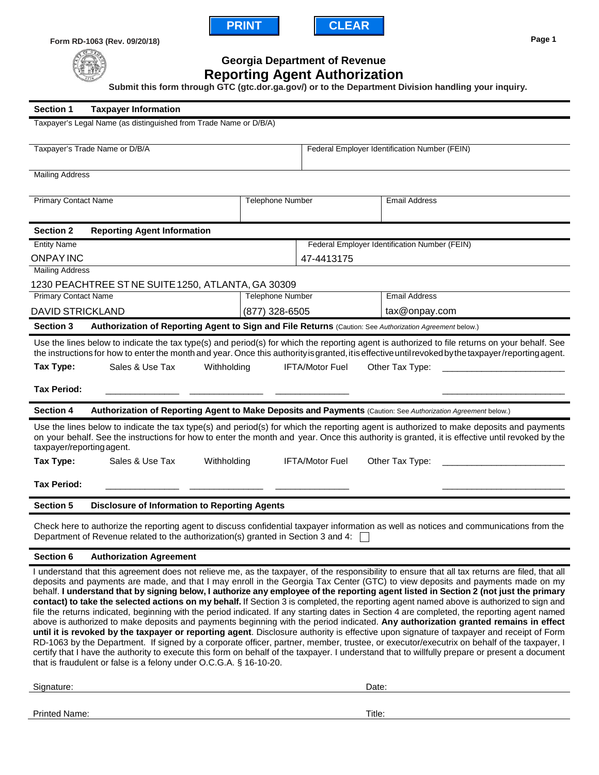



**Form RD-1063 (Rev. 09/20/18)**



**Georgia Department of Revenue**

## **Reporting Agent Authorization**

**Submit this form through GTC (gtc.dor.ga.gov/) or to the Department Division handling your inquiry.**

| <b>Section 1</b><br><b>Taxpayer Information</b>                                                                                                                                                                                                                                                                                                                                                                                                                                                                                                                                                                                                                                                                                                                                                                                                                                                                                                                                                                                                                                                                                                                                                                                                                                                                                                                               |                                                                               |                                               |                                               |  |
|-------------------------------------------------------------------------------------------------------------------------------------------------------------------------------------------------------------------------------------------------------------------------------------------------------------------------------------------------------------------------------------------------------------------------------------------------------------------------------------------------------------------------------------------------------------------------------------------------------------------------------------------------------------------------------------------------------------------------------------------------------------------------------------------------------------------------------------------------------------------------------------------------------------------------------------------------------------------------------------------------------------------------------------------------------------------------------------------------------------------------------------------------------------------------------------------------------------------------------------------------------------------------------------------------------------------------------------------------------------------------------|-------------------------------------------------------------------------------|-----------------------------------------------|-----------------------------------------------|--|
| Taxpayer's Legal Name (as distinguished from Trade Name or D/B/A)                                                                                                                                                                                                                                                                                                                                                                                                                                                                                                                                                                                                                                                                                                                                                                                                                                                                                                                                                                                                                                                                                                                                                                                                                                                                                                             |                                                                               |                                               |                                               |  |
| Taxpayer's Trade Name or D/B/A                                                                                                                                                                                                                                                                                                                                                                                                                                                                                                                                                                                                                                                                                                                                                                                                                                                                                                                                                                                                                                                                                                                                                                                                                                                                                                                                                |                                                                               | Federal Employer Identification Number (FEIN) |                                               |  |
| <b>Mailing Address</b>                                                                                                                                                                                                                                                                                                                                                                                                                                                                                                                                                                                                                                                                                                                                                                                                                                                                                                                                                                                                                                                                                                                                                                                                                                                                                                                                                        |                                                                               |                                               |                                               |  |
| <b>Primary Contact Name</b>                                                                                                                                                                                                                                                                                                                                                                                                                                                                                                                                                                                                                                                                                                                                                                                                                                                                                                                                                                                                                                                                                                                                                                                                                                                                                                                                                   | <b>Telephone Number</b>                                                       |                                               | <b>Email Address</b>                          |  |
| <b>Section 2</b><br><b>Reporting Agent Information</b>                                                                                                                                                                                                                                                                                                                                                                                                                                                                                                                                                                                                                                                                                                                                                                                                                                                                                                                                                                                                                                                                                                                                                                                                                                                                                                                        |                                                                               |                                               |                                               |  |
| <b>Entity Name</b>                                                                                                                                                                                                                                                                                                                                                                                                                                                                                                                                                                                                                                                                                                                                                                                                                                                                                                                                                                                                                                                                                                                                                                                                                                                                                                                                                            |                                                                               |                                               | Federal Employer Identification Number (FEIN) |  |
| <b>ONPAY INC</b>                                                                                                                                                                                                                                                                                                                                                                                                                                                                                                                                                                                                                                                                                                                                                                                                                                                                                                                                                                                                                                                                                                                                                                                                                                                                                                                                                              | 47-4413175                                                                    |                                               |                                               |  |
| <b>Mailing Address</b>                                                                                                                                                                                                                                                                                                                                                                                                                                                                                                                                                                                                                                                                                                                                                                                                                                                                                                                                                                                                                                                                                                                                                                                                                                                                                                                                                        |                                                                               |                                               |                                               |  |
| <b>Primary Contact Name</b>                                                                                                                                                                                                                                                                                                                                                                                                                                                                                                                                                                                                                                                                                                                                                                                                                                                                                                                                                                                                                                                                                                                                                                                                                                                                                                                                                   | 1230 PEACHTREE ST NE SUITE 1250, ATLANTA, GA 30309<br><b>Telephone Number</b> |                                               | <b>Email Address</b>                          |  |
| <b>DAVID STRICKLAND</b>                                                                                                                                                                                                                                                                                                                                                                                                                                                                                                                                                                                                                                                                                                                                                                                                                                                                                                                                                                                                                                                                                                                                                                                                                                                                                                                                                       | (877) 328-6505                                                                |                                               | tax@onpay.com                                 |  |
|                                                                                                                                                                                                                                                                                                                                                                                                                                                                                                                                                                                                                                                                                                                                                                                                                                                                                                                                                                                                                                                                                                                                                                                                                                                                                                                                                                               |                                                                               |                                               |                                               |  |
| Authorization of Reporting Agent to Sign and File Returns (Caution: See Authorization Agreement below.)<br><b>Section 3</b>                                                                                                                                                                                                                                                                                                                                                                                                                                                                                                                                                                                                                                                                                                                                                                                                                                                                                                                                                                                                                                                                                                                                                                                                                                                   |                                                                               |                                               |                                               |  |
| Use the lines below to indicate the tax type(s) and period(s) for which the reporting agent is authorized to file returns on your behalf. See<br>the instructions for how to enter the month and year. Once this authority is granted, it is effective until revoked by the taxpayer /reporting agent.                                                                                                                                                                                                                                                                                                                                                                                                                                                                                                                                                                                                                                                                                                                                                                                                                                                                                                                                                                                                                                                                        |                                                                               |                                               |                                               |  |
| Tax Type:<br>Sales & Use Tax<br>Withholding                                                                                                                                                                                                                                                                                                                                                                                                                                                                                                                                                                                                                                                                                                                                                                                                                                                                                                                                                                                                                                                                                                                                                                                                                                                                                                                                   |                                                                               | <b>IFTA/Motor Fuel</b>                        | Other Tax Type:                               |  |
|                                                                                                                                                                                                                                                                                                                                                                                                                                                                                                                                                                                                                                                                                                                                                                                                                                                                                                                                                                                                                                                                                                                                                                                                                                                                                                                                                                               |                                                                               |                                               |                                               |  |
| <b>Tax Period:</b>                                                                                                                                                                                                                                                                                                                                                                                                                                                                                                                                                                                                                                                                                                                                                                                                                                                                                                                                                                                                                                                                                                                                                                                                                                                                                                                                                            |                                                                               |                                               |                                               |  |
| Authorization of Reporting Agent to Make Deposits and Payments (Caution: See Authorization Agreement below.)<br><b>Section 4</b>                                                                                                                                                                                                                                                                                                                                                                                                                                                                                                                                                                                                                                                                                                                                                                                                                                                                                                                                                                                                                                                                                                                                                                                                                                              |                                                                               |                                               |                                               |  |
| Use the lines below to indicate the tax type(s) and period(s) for which the reporting agent is authorized to make deposits and payments<br>on your behalf. See the instructions for how to enter the month and year. Once this authority is granted, it is effective until revoked by the<br>taxpayer/reporting agent.                                                                                                                                                                                                                                                                                                                                                                                                                                                                                                                                                                                                                                                                                                                                                                                                                                                                                                                                                                                                                                                        |                                                                               |                                               |                                               |  |
| Tax Type:<br>Sales & Use Tax                                                                                                                                                                                                                                                                                                                                                                                                                                                                                                                                                                                                                                                                                                                                                                                                                                                                                                                                                                                                                                                                                                                                                                                                                                                                                                                                                  | <b>IFTA/Motor Fuel</b><br>Withholding<br>Other Tax Type:                      |                                               |                                               |  |
| <b>Tax Period:</b>                                                                                                                                                                                                                                                                                                                                                                                                                                                                                                                                                                                                                                                                                                                                                                                                                                                                                                                                                                                                                                                                                                                                                                                                                                                                                                                                                            |                                                                               |                                               |                                               |  |
| <b>Section 5</b><br><b>Disclosure of Information to Reporting Agents</b>                                                                                                                                                                                                                                                                                                                                                                                                                                                                                                                                                                                                                                                                                                                                                                                                                                                                                                                                                                                                                                                                                                                                                                                                                                                                                                      |                                                                               |                                               |                                               |  |
| Check here to authorize the reporting agent to discuss confidential taxpayer information as well as notices and communications from the<br>Department of Revenue related to the authorization(s) granted in Section 3 and 4:                                                                                                                                                                                                                                                                                                                                                                                                                                                                                                                                                                                                                                                                                                                                                                                                                                                                                                                                                                                                                                                                                                                                                  |                                                                               |                                               |                                               |  |
| Section 6<br><b>Authorization Agreement</b>                                                                                                                                                                                                                                                                                                                                                                                                                                                                                                                                                                                                                                                                                                                                                                                                                                                                                                                                                                                                                                                                                                                                                                                                                                                                                                                                   |                                                                               |                                               |                                               |  |
| I understand that this agreement does not relieve me, as the taxpayer, of the responsibility to ensure that all tax returns are filed, that all<br>deposits and payments are made, and that I may enroll in the Georgia Tax Center (GTC) to view deposits and payments made on my<br>behalf. I understand that by signing below, I authorize any employee of the reporting agent listed in Section 2 (not just the primary<br>contact) to take the selected actions on my behalf. If Section 3 is completed, the reporting agent named above is authorized to sign and<br>file the returns indicated, beginning with the period indicated. If any starting dates in Section 4 are completed, the reporting agent named<br>above is authorized to make deposits and payments beginning with the period indicated. Any authorization granted remains in effect<br>until it is revoked by the taxpayer or reporting agent. Disclosure authority is effective upon signature of taxpayer and receipt of Form<br>RD-1063 by the Department. If signed by a corporate officer, partner, member, trustee, or executor/executrix on behalf of the taxpayer, I<br>certify that I have the authority to execute this form on behalf of the taxpayer. I understand that to willfully prepare or present a document<br>that is fraudulent or false is a felony under O.C.G.A. § 16-10-20. |                                                                               |                                               |                                               |  |

Signature: Date: Date:

Printed Name: Title: Title: Title: Title: Title: Title: Title: Title: Title: Title: Title: Title: Title: Title: Title: Title: Title: Title: Title: Title: Title: Title: Title: Title: Title: Title: Title: Title: Title: Title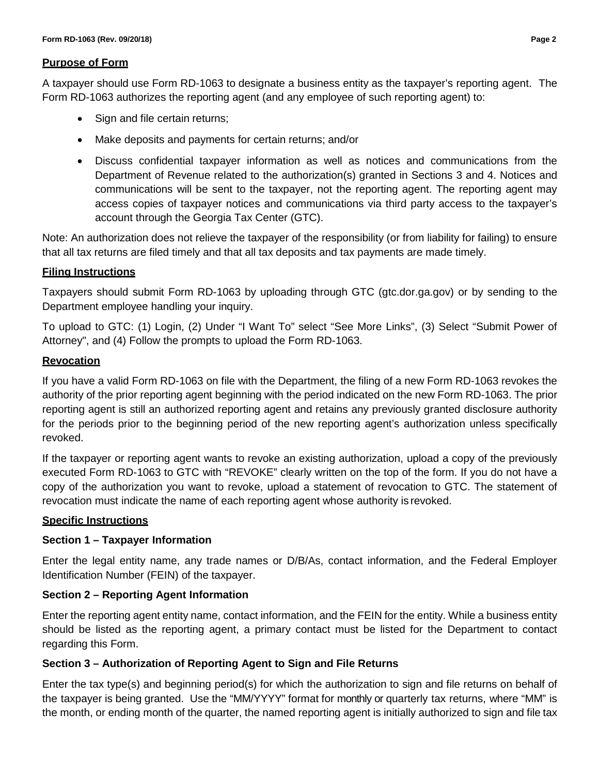#### **Purpose of Form**

A taxpayer should use Form RD-1063 to designate a business entity as the taxpayer's reporting agent. The Form RD-1063 authorizes the reporting agent (and any employee of such reporting agent) to:

- Sign and file certain returns;
- Make deposits and payments for certain returns; and/or
- Discuss confidential taxpayer information as well as notices and communications from the Department of Revenue related to the authorization(s) granted in Sections 3 and 4. Notices and communications will be sent to the taxpayer, not the reporting agent. The reporting agent may access copies of taxpayer notices and communications via third party access to the taxpayer's account through the Georgia Tax Center (GTC).

Note: An authorization does not relieve the taxpayer of the responsibility (or from liability for failing) to ensure that all tax returns are filed timely and that all tax deposits and tax payments are made timely.

## **Filing Instructions**

Taxpayers should submit Form RD-1063 by uploading through GTC (gtc.dor.ga.gov) or by sending to the Department employee handling your inquiry.

To upload to GTC: (1) Login, (2) Under "I Want To" select "See More Links", (3) Select "Submit Power of Attorney", and (4) Follow the prompts to upload the Form RD-1063.

# **Revocation**

If you have a valid Form RD-1063 on file with the Department, the filing of a new Form RD-1063 revokes the authority of the prior reporting agent beginning with the period indicated on the new Form RD-1063. The prior reporting agent is still an authorized reporting agent and retains any previously granted disclosure authority for the periods prior to the beginning period of the new reporting agent's authorization unless specifically revoked.

If the taxpayer or reporting agent wants to revoke an existing authorization, upload a copy of the previously executed Form RD-1063 to GTC with "REVOKE" clearly written on the top of the form. If you do not have a copy of the authorization you want to revoke, upload a statement of revocation to GTC. The statement of revocation must indicate the name of each reporting agent whose authority is revoked.

## **Specific Instructions**

## **Section 1 – Taxpayer Information**

Enter the legal entity name, any trade names or D/B/As, contact information, and the Federal Employer Identification Number (FEIN) of the taxpayer.

## **Section 2 – Reporting Agent Information**

Enter the reporting agent entity name, contact information, and the FEIN for the entity. While a business entity should be listed as the reporting agent, a primary contact must be listed for the Department to contact regarding this Form.

## **Section 3 – Authorization of Reporting Agent to Sign and File Returns**

Enter the tax type(s) and beginning period(s) for which the authorization to sign and file returns on behalf of the taxpayer is being granted. Use the "MM/YYYY" format for monthly or quarterly tax returns, where "MM" is the month, or ending month of the quarter, the named reporting agent is initially authorized to sign and file tax